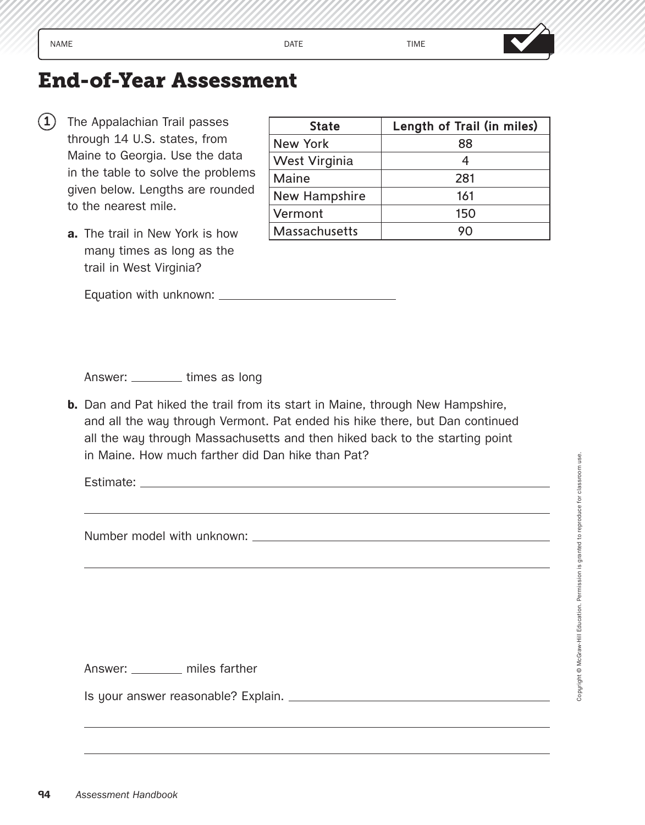## **End-of-Year Assessment**

- $(1)$  The Appalachian Trail passes through 14 U.S. states, from Maine to Georgia. Use the data in the table to solve the problems given below. Lengths are rounded to the nearest mile.
	- **a.** The trail in New York is how many times as long as the trail in West Virginia?

| <b>State</b>         | Length of Trail (in miles) |
|----------------------|----------------------------|
| <b>New York</b>      | 88                         |
| West Virginia        |                            |
| Maine                | 281                        |
| New Hampshire        | 161                        |
| Vermont              | 150                        |
| <b>Massachusetts</b> | 90                         |

Equation with unknown:

Answer: \_\_\_\_\_\_\_\_ times as long

**b.** Dan and Pat hiked the trail from its start in Maine, through New Hampshire, and all the way through Vermont. Pat ended his hike there, but Dan continued all the way through Massachusetts and then hiked back to the starting point in Maine. How much farther did Dan hike than Pat?

Estimate: Latin and Contract and Contract and Contract and Contract and Contract and Contract and Contract and Contract and Contract and Contract and Contract and Contract and Contract and Contract and Contract and Contrac

Number model with unknown:

Answer: \_\_\_\_\_\_\_ miles farther

Is your answer reasonable? Explain.

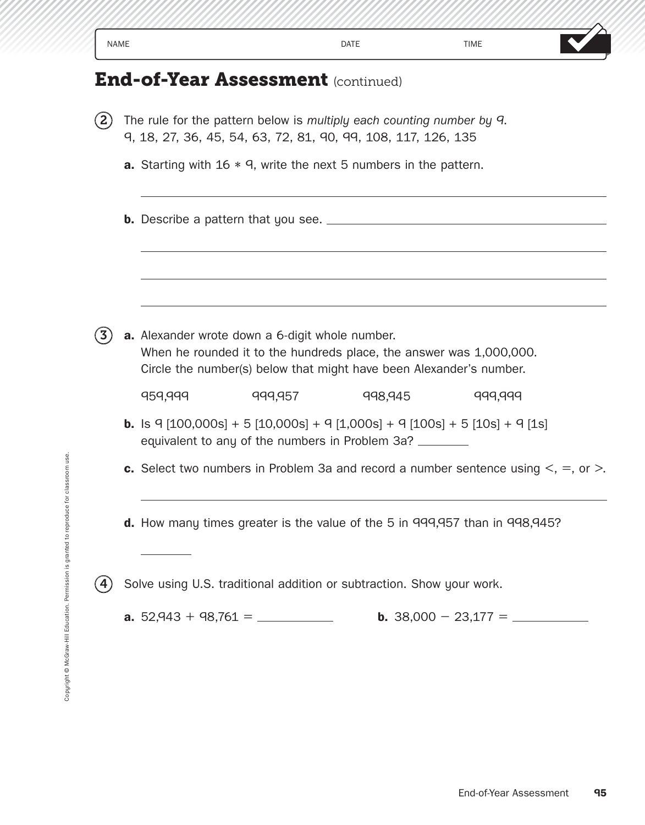|                   | <b>NAME</b> |                                                                                                                                                                                               | <b>DATE</b> | <b>TIME</b>            |
|-------------------|-------------|-----------------------------------------------------------------------------------------------------------------------------------------------------------------------------------------------|-------------|------------------------|
|                   |             | <b>End-of-Year Assessment (continued)</b>                                                                                                                                                     |             |                        |
| $\bf(2)$          |             | The rule for the pattern below is multiply each counting number by 9.<br>9, 18, 27, 36, 45, 54, 63, 72, 81, 90, 99, 108, 117, 126, 135                                                        |             |                        |
|                   |             | <b>a.</b> Starting with $16 * 9$ , write the next 5 numbers in the pattern.                                                                                                                   |             |                        |
|                   |             |                                                                                                                                                                                               |             |                        |
| $\left( 3\right)$ |             | a. Alexander wrote down a 6-digit whole number.<br>When he rounded it to the hundreds place, the answer was 1,000,000.<br>Circle the number(s) below that might have been Alexander's number. |             |                        |
|                   |             | 959,999<br>999,957                                                                                                                                                                            | 998,945     | 999,999                |
|                   |             | <b>b.</b> Is $9 \mid 100,000s] + 5 \mid 10,000s] + 9 \mid 1,000s] + 9 \mid 100s] + 5 \mid 10s] + 9 \mid 1s]$<br>equivalent to any of the numbers in Problem 3a? _______                       |             |                        |
|                   |             | c. Select two numbers in Problem 3a and record a number sentence using $\leq$ , $=$ , or $\geq$ .                                                                                             |             |                        |
|                   |             | d. How many times greater is the value of the 5 in 999,957 than in 998,945?                                                                                                                   |             |                        |
| (4)               |             | Solve using U.S. traditional addition or subtraction. Show your work.                                                                                                                         |             |                        |
|                   |             |                                                                                                                                                                                               |             |                        |
|                   |             |                                                                                                                                                                                               |             |                        |
|                   |             |                                                                                                                                                                                               |             |                        |
|                   |             |                                                                                                                                                                                               |             |                        |
|                   |             |                                                                                                                                                                                               |             | End-of-Year Assessment |
|                   |             |                                                                                                                                                                                               |             |                        |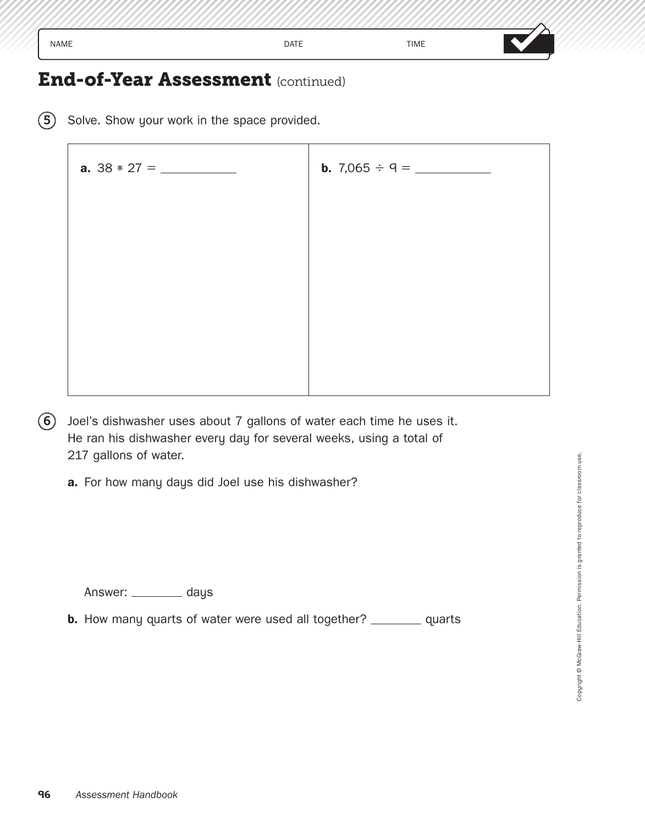## **End-of-Year Assessment** (continued)

(5) Solve. Show your work in the space provided.

| <b>a.</b> $38 * 27 = \_$ |  |
|--------------------------|--|
|                          |  |
|                          |  |
|                          |  |
|                          |  |
|                          |  |
|                          |  |
|                          |  |

- $(6)$  Joel's dishwasher uses about 7 gallons of water each time he uses it. He ran his dishwasher every day for several weeks, using a total of 217 gallons of water.
	- **a.** For how many days did Joel use his dishwasher?

Answer: \_\_\_\_\_\_\_\_ days

**b.** How many quarts of water were used all together? \_\_\_\_\_\_\_\_ quarts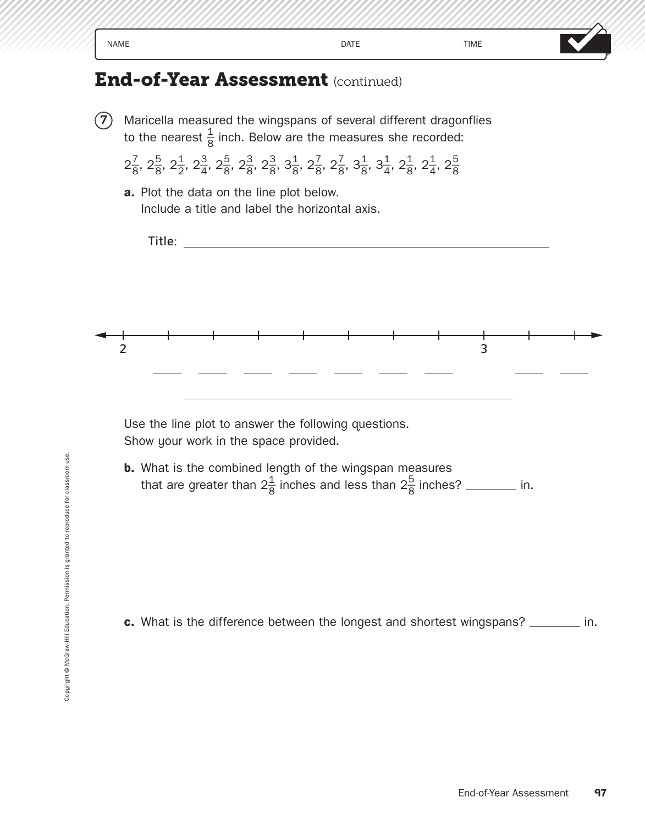| <b>NAME</b>                              | <b>DATE</b>                                                                                                                                                                                                                                 | <b>TIME</b> |  |
|------------------------------------------|---------------------------------------------------------------------------------------------------------------------------------------------------------------------------------------------------------------------------------------------|-------------|--|
|                                          | <b>End-of-Year Assessment</b> (continued)                                                                                                                                                                                                   |             |  |
|                                          | Maricella measured the wingspans of several different dragonflies                                                                                                                                                                           |             |  |
|                                          | to the nearest $\frac{1}{8}$ inch. Below are the measures she recorded:                                                                                                                                                                     |             |  |
|                                          | $2\frac{7}{8}$ , $2\frac{5}{8}$ , $2\frac{1}{2}$ , $2\frac{3}{4}$ , $2\frac{5}{8}$ , $2\frac{3}{8}$ , $2\frac{3}{8}$ , $3\frac{1}{8}$ , $2\frac{7}{8}$ , $3\frac{1}{8}$ , $3\frac{1}{4}$ , $2\frac{1}{8}$ , $2\frac{1}{4}$ , $2\frac{5}{8}$ |             |  |
| a. Plot the data on the line plot below. |                                                                                                                                                                                                                                             |             |  |
|                                          | Include a title and label the horizontal axis.                                                                                                                                                                                              |             |  |
| Title:                                   |                                                                                                                                                                                                                                             |             |  |
|                                          |                                                                                                                                                                                                                                             |             |  |
|                                          |                                                                                                                                                                                                                                             |             |  |
|                                          |                                                                                                                                                                                                                                             |             |  |
|                                          |                                                                                                                                                                                                                                             |             |  |
|                                          |                                                                                                                                                                                                                                             |             |  |

Use the line plot to answer the following questions. Show your work in the space provided.

**b.** What is the combined length of the wingspan measures that are greater than  $2\frac{1}{8}$  inches and less than  $2\frac{5}{8}$  inches? \_\_\_\_\_\_\_\_ in.

**c.** What is the difference between the longest and shortest wingspans? \_\_\_\_\_\_\_ in.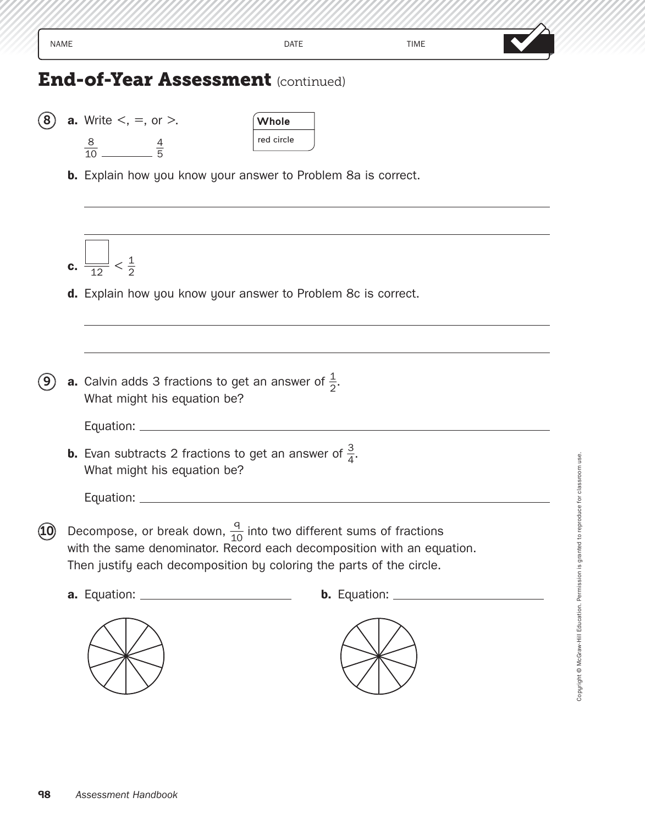| <b>NAME</b> |                                                                                                                                                                                                                                 | DATE                | <b>TIME</b> |  |
|-------------|---------------------------------------------------------------------------------------------------------------------------------------------------------------------------------------------------------------------------------|---------------------|-------------|--|
|             | <b>End-of-Year Assessment (continued)</b>                                                                                                                                                                                       |                     |             |  |
|             | <b>a.</b> Write $\lt$ , $=$ , or $\gt$ .<br>$\frac{8}{10}$ $\frac{4}{5}$                                                                                                                                                        | Whole<br>red circle |             |  |
|             | <b>b.</b> Explain how you know your answer to Problem 8a is correct.                                                                                                                                                            |                     |             |  |
|             | <b>c.</b> $\frac{1}{12} < \frac{1}{2}$                                                                                                                                                                                          |                     |             |  |
|             | d. Explain how you know your answer to Problem 8c is correct.                                                                                                                                                                   |                     |             |  |
|             | <b>a.</b> Calvin adds 3 fractions to get an answer of $\frac{1}{2}$ .<br>What might his equation be?<br>Equation: _                                                                                                             |                     |             |  |
|             | <b>b.</b> Evan subtracts 2 fractions to get an answer of $\frac{3}{4}$ .<br>What might his equation be?                                                                                                                         |                     |             |  |
|             | Decompose, or break down, $\frac{q}{10}$ into two different sums of fractions<br>with the same denominator. Record each decomposition with an equation.<br>Then justify each decomposition by coloring the parts of the circle. |                     |             |  |
|             |                                                                                                                                                                                                                                 |                     |             |  |
|             |                                                                                                                                                                                                                                 |                     |             |  |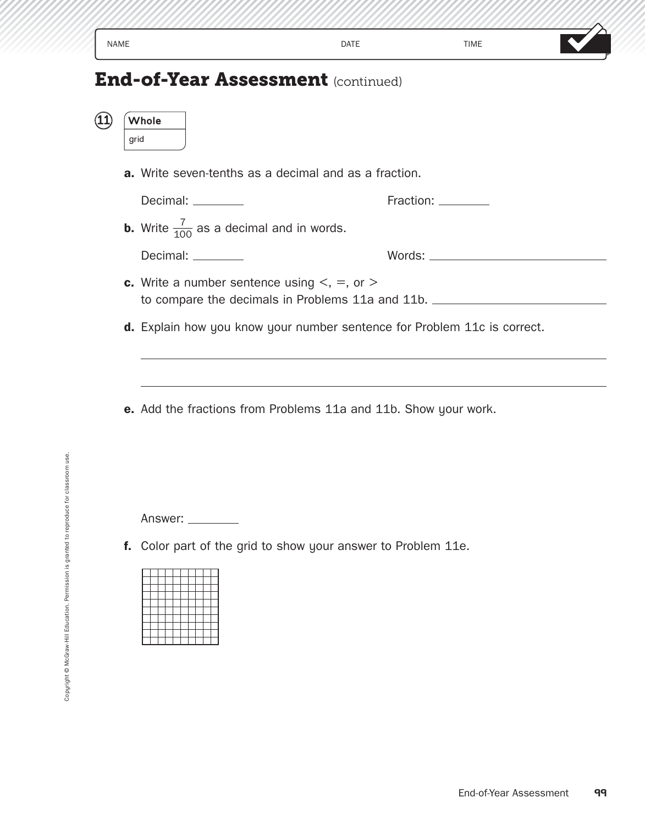| <b>NAME</b>                               | <b>DATE</b> | <b>TIME</b> |  |
|-------------------------------------------|-------------|-------------|--|
| <b>End-of-Year Assessment (continued)</b> |             |             |  |
| Whole<br>grid                             |             |             |  |

**a.** Write seven-tenths as a decimal and as a fraction.

Decimal: Fraction:

Decimal: \_\_\_\_\_\_\_\_<br>**b.** Write  $\frac{7}{100}$  as a decimal and in words.

Decimal: Words:

- **c.** Write a number sentence using  $\lt$ ,  $=$ , or  $\gt$ to compare the decimals in Problems 11a and 11b.
- **d.** Explain how you know your number sentence for Problem 11c is correct.
- **e.** Add the fractions from Problems 11a and 11b. Show your work.

Answer: \_\_\_\_\_\_\_\_\_

**f.** Color part of the grid to show your answer to Problem 11e.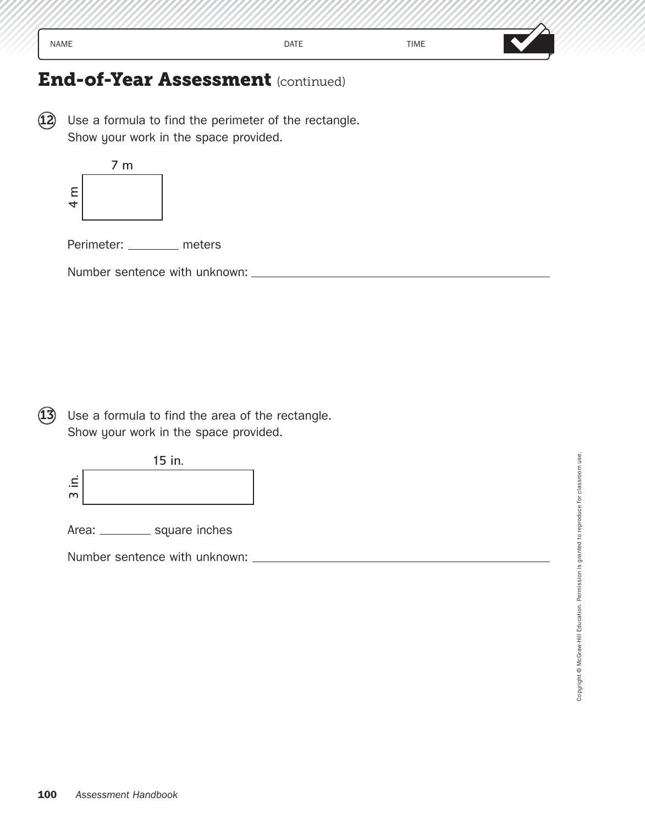## **End-of-Year Assessment** (continued)

 $(12)$  Use a formula to find the perimeter of the rectangle. Show your work in the space provided.



Perimeter: \_\_\_\_\_\_\_\_ meters

Number sentence with unknown:

 $(13)$  Use a formula to find the area of the rectangle. Show your work in the space provided.



Area: \_\_\_\_\_\_\_\_\_ square inches

Number sentence with unknown:

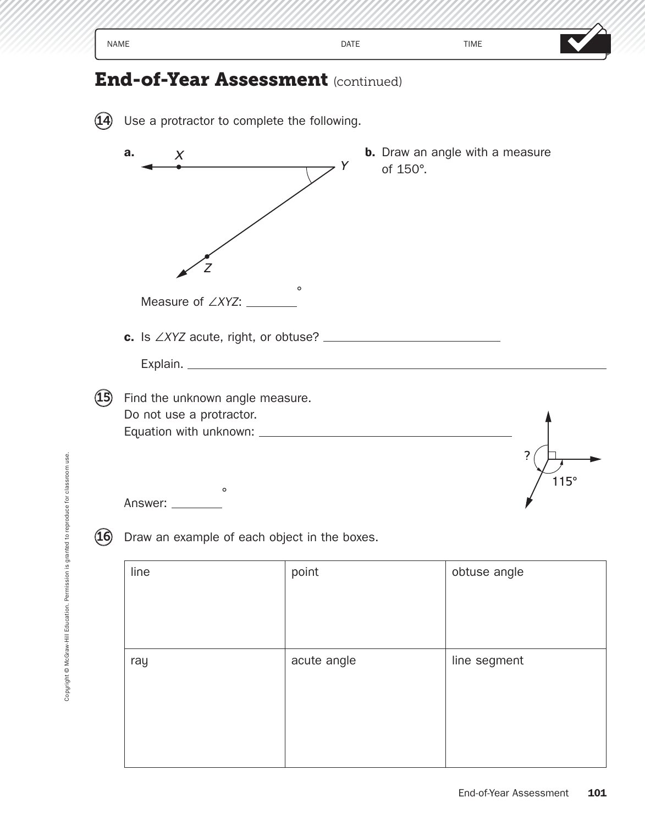| <b>NAME</b>                                                 |                           | <b>DATE</b>                                                     | <b>TIME</b>                            |                                 |
|-------------------------------------------------------------|---------------------------|-----------------------------------------------------------------|----------------------------------------|---------------------------------|
|                                                             |                           | <b>End-of-Year Assessment (continued)</b>                       |                                        |                                 |
|                                                             |                           | Use a protractor to complete the following.                     |                                        |                                 |
| a.<br>$\boldsymbol{X}$                                      |                           | Y<br>of 150°.                                                   | <b>b.</b> Draw an angle with a measure |                                 |
|                                                             | Measure of $\angle XYZ$ : | $\circ$<br>c. Is $\angle XYZ$ acute, right, or obtuse? $\angle$ |                                        |                                 |
|                                                             |                           |                                                                 |                                        |                                 |
| Find the unknown angle measure.<br>Do not use a protractor. | $\circ$                   |                                                                 |                                        | $\overline{\mathbf{?}}$<br>115° |
| Answer:<br>16)                                              |                           | Draw an example of each object in the boxes.                    |                                        |                                 |
| line                                                        |                           | point                                                           | obtuse angle                           |                                 |
| ray                                                         |                           | acute angle                                                     | line segment                           |                                 |
|                                                             |                           |                                                                 |                                        |                                 |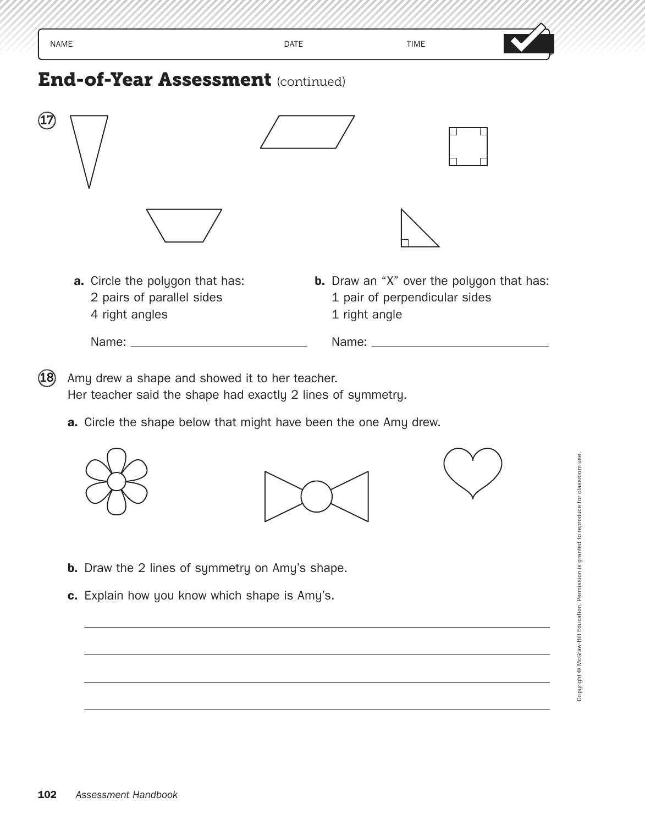| <b>NAME</b>                                                                    | <b>DATE</b>   | <b>TIME</b>                                                                       |  |
|--------------------------------------------------------------------------------|---------------|-----------------------------------------------------------------------------------|--|
| <b>End-of-Year Assessment (continued)</b>                                      |               |                                                                                   |  |
|                                                                                |               |                                                                                   |  |
|                                                                                |               |                                                                                   |  |
| a. Circle the polygon that has:<br>2 pairs of parallel sides<br>4 right angles | 1 right angle | <b>b.</b> Draw an "X" over the polygon that has:<br>1 pair of perpendicular sides |  |
|                                                                                |               |                                                                                   |  |

 $(18)$  Amy drew a shape and showed it to her teacher. Her teacher said the shape had exactly 2 lines of symmetry.

**a.** Circle the shape below that might have been the one Amy drew.







- **b.** Draw the 2 lines of symmetry on Amy's shape.
- **c.** Explain how you know which shape is Amy's.